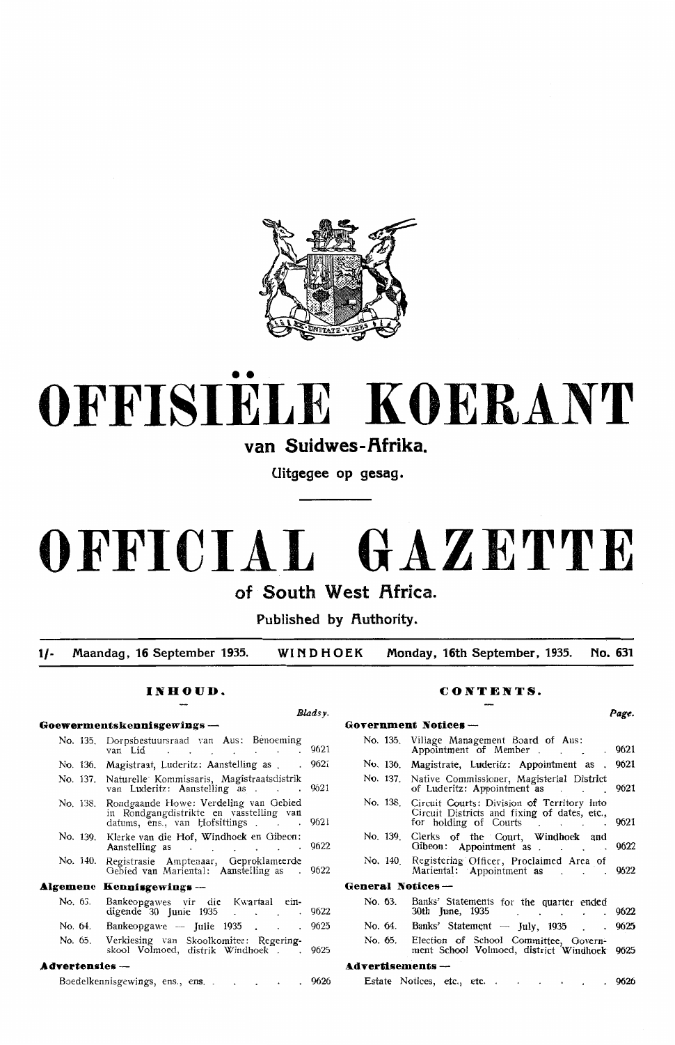

# •• **OFFISIELE KOERANT**

van Suidwes-Afrika.

**Uitgegee op gesag.** 

## **OFFICIAL GAZETTE**

**of South West Africa.** 

Published by **Authority**.

**1/- Maandag, 16 September 1935. WINDHOEK Monday, 16th September, 1935. No. 631** 

*Bladsy.* 

#### **INHOUD.**

## **Goewermentskennisgewings** - No. 135. Dorpsbestuursraad van Aus: Benoeming van Lid 9621 No. 136. Magistraat, Luderitz: Aanstelling as . . 9621 No. 137. Naturdle' Kommissaris, Magistraatsdistrik van Luderitz: Aanste!ling as . 9621 No. 138. Rondgaande Howe: Verdeling van Oebied in Rondgangdistrikte en vasstelling van<br>datums, ens., van Hofsittings . . . 9621 No. 139. Klerke van die Hof, Windhoek en Gibeon : Aanstelling as 9622 No. 140. Registrasie Amptenaar, Geproklameerde Oebied van Mariental : Aanstelling as 9622 **Algemene Kennisgewings-**No. 63. Bankeopgawes vir die Kwartaal ein- digende 30 Junie 1935 9622 No. 64. Bankeopgawe -- Julie 1935 . . . 9625 No. 65. Verkiesing van Skoolkomitee: Regering-<br>skool Volmoed, distrik Windhoek . 9625

#### Advertensies -

| - -- - - - - - - - -           |  |  |  |      |
|--------------------------------|--|--|--|------|
| Boedelkennisgewings, ens., ens |  |  |  | 9626 |

#### **CONTENTS.**

### *Pag,e.*  **Government Notices** - No. 135. Viliage Management Board of Aus: Appointment of Member . . . . . 9621 No. 136. Magistrate, Luderitz: Appointment as . 9621 No. 137. Native Commissioner, Magisterial District of Luderitz: Appointment as 19621 No. 138. Circuit Courts: Division of Territory into Circuit Districts and fixing of dates, etc., for holding of Courts . . . . 9621 No. 139. Clerks of the Court, Windhoek and Gibeon: Appointment as . . . . . 9622 No. 140. Registering Officer, Proclaimed Area of Mariental: Appointment as . . . . 9622 **General Notices** - No. 63. Banks' Statements for the quarter ended 30th June, 1935 . . . . . 9622 No. 64. Banks' Statement - July, 1935 . . 9625 No. 65. Election of School Committee, Oovernment School Volmoed, district Windhoek 9625 **A.dvertisements** - Estate Notices, etc., etc. . . . . . . 9626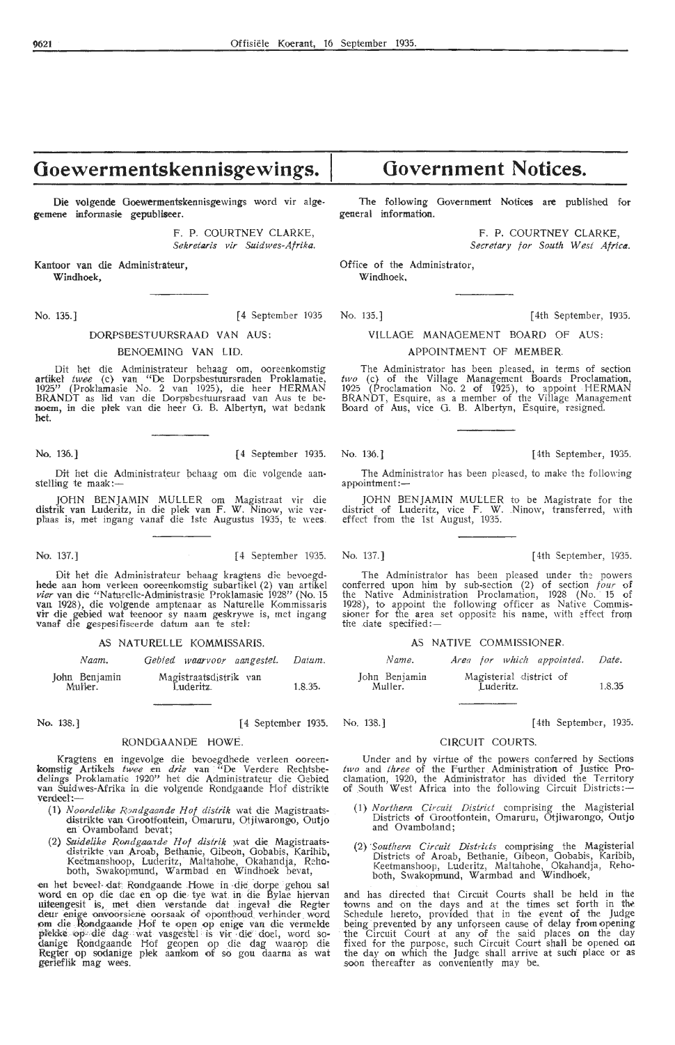## **Goewermentskennisgewings.**

Die volgende Goewermentskennisgewings word vir algegemene informasie gepubliseer.

> F. P. COURTNEY CLARKE, *Sekretaris vir Suidwes-Afrika.*

Kantoor van die Adrninistrateur, Windhoek,

No. 135.] [ 4 September 1935

#### DORPSBESTUURSRAAD VAN AUS:

#### BENOEMING VAN LID.

Dit het die Administrateur behaag om, ooreenkomstig artikel twee (c) van "De Dorpsbestuursraden Proklamatie, 1925" (Proklamasie No. 2 van 1925), die heer HERMAN **BRANDT** as lid van die Dorpsbestuursraad van Aus te benoem, in die plek van die heer G. B. Albertyn, wat bedank het.

Dit het die Administrateur behaag om die volgende aanstelling te maak :-

JOHN BENJAMIN MULLER om Magistraat vir die distrik van Luderitz, in die plek van F. W. Ninow, wie ver-<br>pl'aas is, met ingang vanaf die 1ste Augustus 1935, te wees.

Dit het die Administrateur behaag kragtens die bevoegdhede aan hom verleen ooreenkomstig subartikel (2) van artikel vier van die "Naturelle-Administrasie Proklamasie 1928" (No. 15 *vier* van die "Naturelle-Administrasie Proklamasie 1928" (No. 15<br>van 1928), die volgende amptenaar as Naturelle Kommissaris vir die gebied wat teenoor sy naam geskrywe is, met ingang<br>vanaf die gespesifiseerde datum aan te stel:

AS NATURELLE KOMMISSARIS.

*Naam.*  John Benjamin Gebied waarvoor aangestel. Daium.

MuHer. Magistraatsdistrik van Luderitz\_ 1.8.35.

No. 138.) [ 4 September 1935. No. 138.] [ 4th September, 1935.

#### RONDOAANDE HOWE.

Kragtens en ingevolge die bevoegdhede verleen ooreen- komstig Artikels *twee* en *drie* .van : "De V,erdere Rechtshedelings Proklamatie 1920" het die Administrateur die Gebied van Suidwes-Afrika in die volgende Rondgaande Hof distrikte verdeel:-

- ( **1)** *N ooi delike R,:mdgaande Hof distrik* wat die Magistraatsdistrikte van Grootfontein, Omaruru, Otjiwarongo, Outjo en Ovamboland hevat;
- (2) Suidelike Rondgaarde Hof distrik wat die Magistraatsdistrikte van Aroab, Bethanie, Gibeon, Gobabis, Karihib, Keetmanshoop, Luderitz, Maltahohe, Okahandja, Reho-both, Swakopmund, Warmbad en Windhoek hevat,

en het beveel- dat Rondgaande Howe in die dorpe gehou sal word en op die dae en op die tye wat in die Bylae hiervan<br>uiteengesit is, met dien verstande dat ingeval die Regter deur enige onvoorsiene oorsaak of oponthoud verhinder word om die Rondgaande Hof te open op enige van die vermelde<br>pfekke op die dag wat vasgestel is vir die doel, word so-<br>danige Rondgaande Hof geopen op die dag waarop die Regter op sodanige plek aankom of so gou daarna as wat gerieflik mag wees.

## **Government Notices.**

The following Government Notices are published for general information.

> F. P. COURTNEY CLARKE, Secretary for South West Africa.

Office of the Administrator, Windhoek.

No. 135.] [ 4th September, 1935.

#### VILLAGE MANAGEMENT BOARD OF AUS:

#### APPOINTMENT OF MEMBER

The Administrator has been pleased, in terms of section *two* (c) of the Village Management Boards Proclamation, 1925 (Proclamation No. 2 of 1925), to appoint HERMAN BRANDT, Esquire, as a member of the Village Management Board of Aus, vice G. B. Albertyn, Esquire, resigned.

No. 136.] [ 4 September 1935. No. 136.] [4th September, 1935.

The Administrator has been pleased, to make the following appointment:-

JOHN BENJAMIN MULLER to be Magistrate for the<br>ict of Luderitz, vice F. W. Ninow, transferred, with district of Luderitz, vice F. W. Ninow, transferred, with effect from the 1st August, 1935.

No. 137.] [ 4 September 1935. No. 137.] (4th September, 1935.

The Administrator has been pleased under the powers conferred upon him by sub-section (2) of section *four* of the Native Administration Proclamation, 1928 (No. 15 of 1928), to appoint the following officer as Native Commissioner for the area set opposite his name, with effect from the date specified:-

#### AS NATIVE COMMISSIONER.

| Name.                    |           | Area for which appointed. Date. |        |
|--------------------------|-----------|---------------------------------|--------|
| John Benjamin<br>Muller. | Luderitz. | Magisterial district of         | 1.8.35 |

#### CIRCUIT COURTS.

Under and by virtue of the powers conferred by Sections two and *three* of the Further Administration of Justice Proclamation, 1920, the Administrator has divided the Territory<br>of South West Africa into the following Circuit Districts:

- (1) Northern Circuit District comprising the Magisterial Districts of Grootfontein, Omaruru, Otjiwarongo, Outjo and Ovamboland;
- (2) *·southem Circuit Districts* oompristng the Magisterial Districts of Aroab, Bethanie, Gibeon, Gobabis, Karibib, Keetmanshoop, Luderitz, Maltahohe, Okahandja, Rehoboth, Swakoprnund, Warmbad and Windhoek,

and has directed that Circuit Courts shall be held in the towns and on the days and at the times set forth in the Schedule hereto, provided that in the event of the Judge being prevented by any unforseen cause of delay from opening the Circuit Court at any of the said places on the day fixed for the purpose, such Circuit Court shall be opened on the day on which the Judge shall arrive at such place or as soon thereafter as conveniently may be...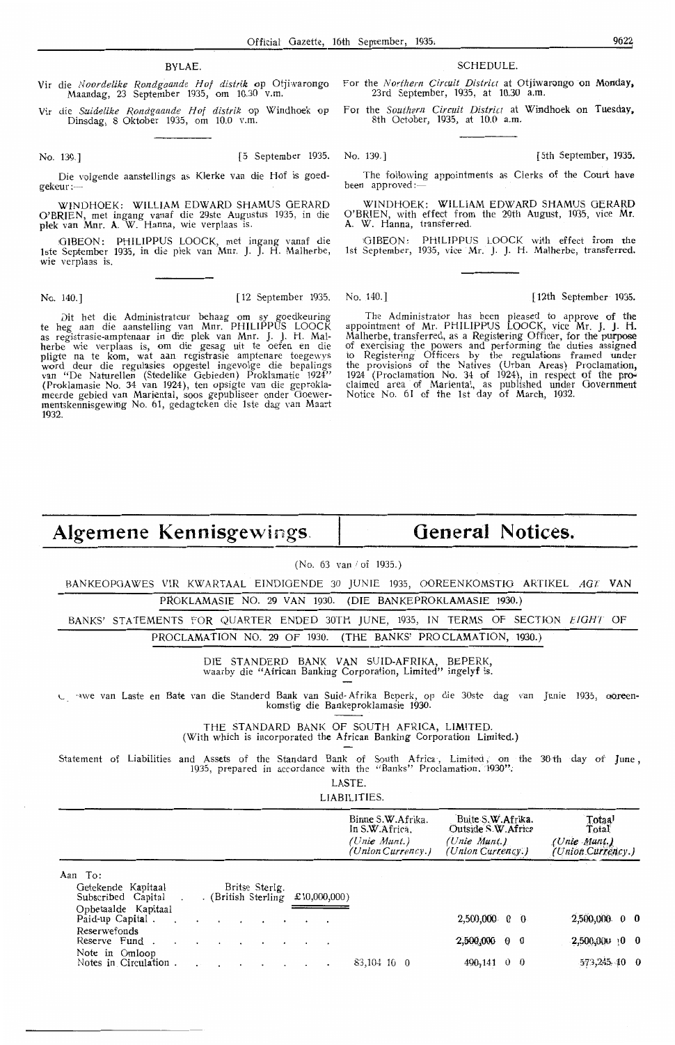#### BYLAE.

Vir die *Noordelike Rondgaande Hof distrik* op Otjiwarongo Maandag, 23 September 1935, om 10.30 v.m.

Vir die *Suidelike Rondgaande Hof distrik* op Windhoek op Dinsdag, 8 Oktober 1935, om 10.0 v.m.

No. 139.] [ 5 September 1935. No. 139.] (5th September, 1935.

Die volgende aanstellings as Klerke van die Hof is goedgekeur :-

WINDHOEK: WILLIAM EDWARD SHAMUS GERARD O'BRIEN, met ingang vanaf die 29ste Augustus 1935, in die plek van Mnr. A. W. Hanna, wie verplaas is.

GIBEON: PHILIPPUS LOOCK, met ingang vanaf die<br>1ste September 1935, in die plek van Mnr. J. J. H. Malherbe, wie verplaas is.

Dit het die Administrateur behaag om sy goedkeuring te heg aan die aanstelling van Mnr. PHILIPPUS LOOCK<br>as registrasie-amptenaar in die plek van Mnr. J. J. H. Malherbe wie verplaas is, om die gesag uit te oefen en die pligte na te kom, wat aan registrasie amptenare toegewys<br>word deur die regulasies opgestel ingevolge die bepalings<br>van "De Naturellen (Stedelike Gebieden) Proklamatie 1924" (Proklamasie No. 34 van 1924 ), ten opsigte van die geproklameerde gebied van Mariental, soos gepubliseer onder Goewermentskennisgewing No. 61, gedagteken die. lste dag \'an Maart 1932.

#### SCHEDULE.

For the *Northern Circuit Distria* at Otjrwarongo **on Monday,**  23rd September, 1935, at 10.30 a.m.

for the *Southern Circuit District* at Windhoek on Tuesday. 8th October, 1935, at 10.0 a.m.

The following appointments as Clerks of the Court have been approved:

WINDHOEK: WILLIAM EDWARD SHAMUS GERARD O'BRIEN, with effect from the 29th August, 1935, vice Mr. A. W. Hanna, transferred.

GIBEON: PHILIPPUS LOOCK with effect from the 1st September, 1935, vice Mr. J. J. H. Malherbe, transferred.

No. 140.] [12 September 1935. No. 140.] [12th September 1935.

The Administrator has been pleased to approve of the appointment of Mr. PHILIPPUS LOOCK, vice Mr. J. J. H. Malherbe, transferred, as a Registering Officer, for the purpose of exercising the powers and performing the duties assigned to Registering Officers by the regulations framed under the provisions of the Natives (Urban Areas) Proclamation, 1924 (Proclamation No. 34 of 1924), in respect of the proclaimed area of Mariental, as published under Government Notice No. 61 of the 1st day of **March,** 1932.

## **Algemene Kennisgewings.**

## **General Notices.**

(No. 63 van / of 1935.)

BANKEOPGAWES VIR KWARTAAL E!NDIOENDE 30 JUNIE 1935, OOREENKOMSTIO ARTIKEL *AGT* **VAN** 

PROKLAMASIE NO. 29 VAN 1930. (DIE BANKEPROKLAMASIE 1930.)

BANKS' STATEMENTS FOR QUARTER ENDED 30TH JUNE, 1935, IN TERMS OF SECTION EIGHT OF PROCLAMATION NO. 29 OF 1930. (THE BANKS' PROCLAMATION, 1930.)

> DIE STANDERD BANK VAN SUID-AFRIKA, BEPERK, waarby die "African Banking Corporation, Limited" ingelyf is.

1. · awe van Laste en Bate van die Standerd Bank van Suid-Afrika Beperk, op die 30ste dag van Junie 1935, ooreen-<br>komstig die Bankeproklamasie 1930.

THE STANDARD BANK OF SOUTH AFRICA, LIMITED. (With which is incorporated the African Banking Corporation Limited.)

Statement of Liabilities and Assets of the Standard Bank of South Africa, Limited, on the 30th day of June,<br>1935, prepared in accordance with the "Banks" Proclamation . 1930";

LASTE.

LIABILITIES.

|                                         |                                     | Binne S.W.Afrika.<br>In S.W.Africa.<br>(Unie Munt.)<br>(Union Currency.) | Buite S.W. Afrika.<br>Outside S.W. Africa<br>(Unie Munt.)<br>(Union Currency.) | Totaal<br>Total<br>(Unie Munt.)<br>(Union Currency.) |
|-----------------------------------------|-------------------------------------|--------------------------------------------------------------------------|--------------------------------------------------------------------------------|------------------------------------------------------|
| To:<br>Aan<br>Getekende Kapitaal        | Britse Sterlg.                      |                                                                          |                                                                                |                                                      |
| Subscribed Capital                      | . (British Sterling<br>£10,000,000) |                                                                          |                                                                                |                                                      |
| Opbetaalde Kapitaal<br>Paid-up Capital. | $\cdot$                             |                                                                          | $2.500,000$ 0 0                                                                | 2,500,000 0 0                                        |
| Reserwefonds<br>Reserve Fund.           | $\sim$                              |                                                                          | 2,500,000<br>00                                                                | 2,500,000,0000                                       |
| Note in Omloop<br>Notes in Circulation. |                                     | $83,104$ 10 0                                                            | 490,141<br>$0\quad 0$                                                          | 573,245.40 0                                         |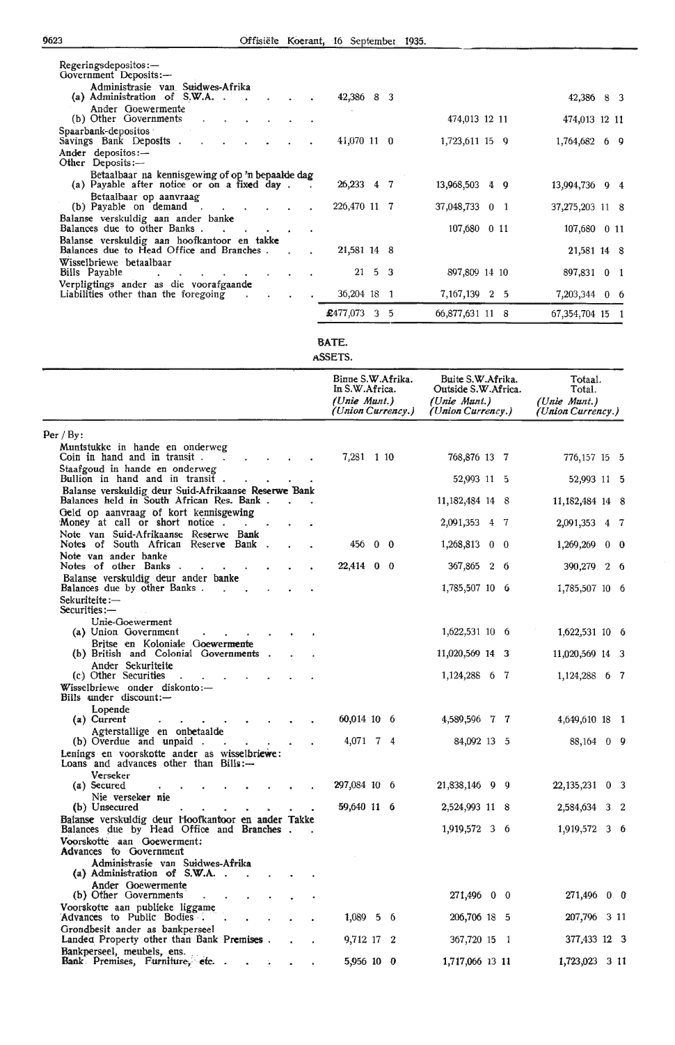| Regeringsdepositos:<br>Government Deposits:-<br>Administrasie van Suidwes-Afrika                |                    |                 |                   |
|-------------------------------------------------------------------------------------------------|--------------------|-----------------|-------------------|
| (a) Administration of $S.W.A.$<br>Ander Goewermente                                             | 42,386 8 3         |                 | 42,386 8 3        |
| (b) Other Governments                                                                           |                    | 474,013 12 11   | 474,013 12 11     |
| Spaarbank-depositos<br>Savings Bank Deposits.                                                   | 41,070 11 0        | 1,723,611 15 9  | 1,764,682 6 9     |
| Ander depositos:-<br>Other Deposits:-                                                           |                    |                 |                   |
| Betaalbaar na kennisgewing of op 'n bepaalde dag<br>(a) Payable after notice or on a fixed day. | 26,233 4 7         | 13,968,503 4 9  | 13,994,736 9 4    |
| Betaalbaar op aanvraag<br>(b) Payable on demand.<br><b>Contract Contract Street</b>             | 226,470 11 7       | 37,048,733 0 1  | 37,275,203 11 8   |
| Balanse verskuldig aan ander banke<br>Balances due to other Banks.                              |                    | 107,680 0 11    | 107,680 0 11      |
| Balanse verskuldig aan hoofkantoor en takke<br>Balances due to Head Office and Branches.        | 21,581 14 8        |                 | 21,581 14 8       |
| Wisselbriewe betaalbaar                                                                         |                    |                 |                   |
| Bills Payable                                                                                   | $21 \t5 \t3$       | 897,809 14 10   | 897,831 0 1       |
| Verpligtings ander as die voorafgaande<br>Liabilities other than the foregoing                  | 36,204 18 1        | 7,167,139 2 5   | 7,203,344 0 6     |
|                                                                                                 | £477,073<br>3<br>5 | 66,877,631 11 8 | 67, 354, 704 15 1 |

#### **BATE.**

ASSETS.

|                                                                                                  | Binne S.W.Afrika.<br>In S.W.Africa.<br>(Unie Munt.)<br>(Union Currency.) | Buite S.W.Afrika.<br>Outside S.W. Africa.<br>(Unie Munt.)<br>(Union Currency.) | Totaal.<br>Total.<br>(Unie Munt.)<br>(Union Currency.) |
|--------------------------------------------------------------------------------------------------|--------------------------------------------------------------------------|--------------------------------------------------------------------------------|--------------------------------------------------------|
| Per / By:                                                                                        |                                                                          |                                                                                |                                                        |
| Muntstukke in hande en onderweg<br>Coin in hand and in transit.                                  | 7,281 1 10                                                               | 768,876 13 7                                                                   | 776,157 15 5                                           |
| Staafgoud in hande en onderweg<br>Bullion in hand and in transit.                                |                                                                          | 52,993 11 5                                                                    | 52,993 11 5                                            |
| Balanse verskuldig deur Suid-Afrikaanse Reserwe Bank<br>Balances held in South African Res. Bank |                                                                          | 11, 182, 484 14 8                                                              | 11, 182, 484 14 8                                      |
| Geld op aanvraag of kort kennisgewing<br>Money at call or short notice.                          |                                                                          | 2,091,353 4 7                                                                  | 2,091,353 4 7                                          |
| Note van Suid-Afrikaanse Reserwe Bank<br>Notes of South African Reserve Bank.                    | 456 0 0                                                                  | 1,268,813 0 0                                                                  | 1,269,269 0 0                                          |
| Note van ander banke<br>Notes of other Banks.                                                    | 22,414 0 0                                                               | 367,865 2 6                                                                    | 390,279 2 6                                            |
| Balanse verskuldig deur ander banke<br>Balances due by other Banks.<br>$\mathbf{r}$              |                                                                          | 1,785,507 10 6                                                                 | 1,785,507 10 6                                         |
| Sekuriteite:-                                                                                    |                                                                          |                                                                                |                                                        |
| Securities:-<br>Unie-Goewerment<br>(a) Union Government                                          |                                                                          | 1,622,531 10 6                                                                 | 1,622,531 10 6                                         |
| Britse en Koloniale Goewermente<br>(b) British and Colonial Governments.                         |                                                                          | 11,020,569 14 3                                                                | 11,020,569 14 3                                        |
| Ander Sekuriteite<br>(c) Other Securities                                                        |                                                                          | 1,124,288 6 7                                                                  | 1,124,288 6 7                                          |
| Wisselbriewe onder diskonto:-<br>Bills under discount:-                                          |                                                                          |                                                                                |                                                        |
| Lopende<br>$(a)$ Current                                                                         | 60,014 10 6                                                              | 4,589,596 7 7                                                                  | 4,649,610 18 1                                         |
| Agterstallige en onbetaalde<br>(b) Overdue and unpaid.                                           | 4,071 7 4                                                                | 84,092 13 5                                                                    | 88,164 0 9                                             |
| Lenings en voorskotte ander as wisselbriewe:<br>Loans and advances other than Bills:-            |                                                                          |                                                                                |                                                        |
| Verseker<br>(a) Secured                                                                          | 297,084 10 6                                                             | 21,838,146 9 9                                                                 | 22, 135, 231 0 3                                       |
| Nie verseker nie<br>(b) Unsecured                                                                | 59,640 11 6                                                              | 2,524,993 11 8                                                                 | 2,584,634 3 2                                          |
| Balanse verskuldig deur Hoofkantoor en ander Takke<br>Balances due by Head Office and Branches.  |                                                                          | 1,919,572 3 6                                                                  | 1,919,572 3 6                                          |
| Voorskotte aan Goewerment:<br><b>Advances</b> to Government                                      |                                                                          |                                                                                |                                                        |
| Administrasie van Suidwes-Afrika<br>(a) Administration of S.W.A. .                               |                                                                          |                                                                                |                                                        |
| Ander Goewermente<br>(b) Other Governments                                                       |                                                                          | 271,496 0 0                                                                    | 271,496<br>$0\quad 0$                                  |
| Voorskotte aan publieke liggame<br>Advances to Public Bodies.                                    | $1,089$ 5 6                                                              | 206,706 18 5                                                                   | 207,796 3 11                                           |
| Grondbesit ander as bankperseel                                                                  |                                                                          |                                                                                |                                                        |
| Landed Property other than Bank Premises.<br>Bankperseel, meubels, ens.                          | 9,712 17 2                                                               | 367,720 15 1                                                                   | 377,433 12 3                                           |
| Bank Premises, Furniture, etc. .                                                                 | 5,956 10 0                                                               | 1,717,066 13 11                                                                | 1,723,023 3 11                                         |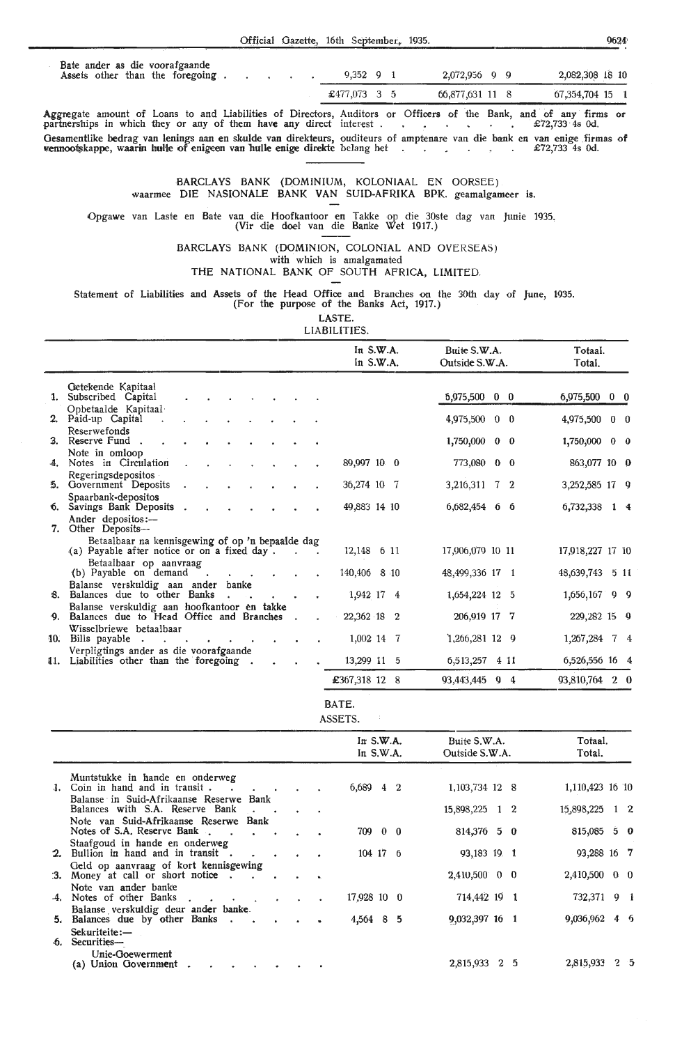|  | Official Gazette, 16th September, 1935. |  |
|--|-----------------------------------------|--|
|  |                                         |  |

 $\blacksquare$ 

|  |  | Bate ander as die voorafgaande   |  |
|--|--|----------------------------------|--|
|  |  | Assets other than the foregoing. |  |

| $9,352 \quad 9 \quad 1$ |  | 2,072,956 9 9   | 2,082,308 18 10 |
|-------------------------|--|-----------------|-----------------|
| £477,073 3 5            |  | 66,877,631 11 8 | 67,354,704 15 1 |

Aggregate amount of Loans to and Liabilities of Directors, Auditors or Officers of the Bank, and of any firms or partnerships in which they or any of them have any direct interest . · £72,733 · 4s Od. Gesamentlike bedrag van lenings aan en skulde van direkteurs, ouditeurs of amptenare van die bank en van enige firmas of<br>vennootskappe, waarin hulle of enigeen van hulle enige direkte belang het and alle alle alle alle 272

#### BARCLAYS BANK (DOMINIUM, KOLONIAAL EN OORSEE) waarmee DIE NASIONALE BANK VAN SUID-AFRIKA BPK. geamalgameer is.

Opgawe van Laste en Bate van die Hoofkantoor en Takke op die 30ste dag van Junie 1935. (Vir die doel van die Banke Wet 1917.)

BARCLAYS BANK (DOMINION, COLONIAL AND OVERSEAS) with which is amalgamated

THE NATIONAL BANK OF SOUTH AFRICA, LIMITED.

Statement of Liabilities and Assets of the Head Office and Branches on the 30th day of June, 1935.

(For the purpose of the Banks Act, 1917.)

LASTE. **LIABILITIES** 

|     |                                                                                                 |        |                         |  |        | In $S.W.A.$<br>In $S.W.A.$ |  | Buite S.W.A.<br>Outside S.W.A. |  | Totaal.<br>Total. |            |
|-----|-------------------------------------------------------------------------------------------------|--------|-------------------------|--|--------|----------------------------|--|--------------------------------|--|-------------------|------------|
|     | Getekende Kapitaal                                                                              |        |                         |  |        |                            |  |                                |  |                   |            |
|     | 1. Subscribed Capital                                                                           |        |                         |  |        |                            |  | 5,975,500 0 0                  |  | 6,975,500 0 0     |            |
|     | Opbetaalde Kapitaal<br>2. Paid-up Capital                                                       |        |                         |  |        |                            |  | 4,975,500 0 0                  |  | 4,975,500         | $0\quad 0$ |
|     | Reserwefonds<br>3. Reserve Fund.                                                                |        |                         |  |        |                            |  | 1,750,000 0 0                  |  | $1,750,000$ 0 0   |            |
|     | Note in omloop<br>4. Notes in Circulation                                                       |        |                         |  |        | 89,997 10 0                |  | 773,080 0 0                    |  | 863,077 10 0      |            |
|     | Regeringsdepositos<br>5. Government Deposits                                                    |        |                         |  |        | 36,274 10 7                |  | 3,216,311 7 2                  |  | 3,252,585 17 9    |            |
|     | Spaarbank-depositos<br>6. Savings Bank Deposits.                                                |        |                         |  |        | 49,883 14 10               |  | 6,682,454 6 6                  |  | 6,732,338 1 4     |            |
| 7.  | Ander depositos:-<br>Other Deposits-                                                            |        |                         |  |        |                            |  |                                |  |                   |            |
|     | Betaalbaar na kennisgewing of op 'n bepaalde dag<br>(a) Payable after notice or on a fixed day. |        |                         |  | $\sim$ | 12,148 6 11                |  | 17,906,079 10 11               |  | 17,918,227 17 10  |            |
|     | Betaalbaar op aanvraag<br>(b) Payable on demand                                                 | $\sim$ |                         |  |        | 140,406 8 10               |  | 48,499,336 17 1                |  | 48,639,743 5 11   |            |
| 8.  | Balanse verskuldig aan ander banke<br>Balances due to other Banks                               |        | $\sim 100$ km s $^{-1}$ |  |        | 1,942 17 4                 |  | 1, 654, 224 12 5               |  | 1,656,167 9 9     |            |
|     | Balanse verskuldig aan hoofkantoor en takke                                                     |        |                         |  |        |                            |  |                                |  |                   |            |
| ∘9. | Balances due to Head Office and Branches                                                        |        |                         |  |        | 22,362 18 2                |  | 206,919 17 7                   |  | 229,282 15 9      |            |
| 10. | Wisselbriewe betaalbaar<br>Bills payable.                                                       |        |                         |  |        | 1,002 14 7                 |  | $1,266,281$ 12 9               |  | 1,267,284 7 4     |            |
| 11. | Verpligtings ander as die voorafgaande<br>Liabilities other than the foregoing.                 |        |                         |  |        | 13,299 11 5                |  | 6,513,257 4 11                 |  | 6,526,556 16 4    |            |
|     |                                                                                                 |        |                         |  |        | £367,318 12 8              |  | 93,443,445 9 4                 |  | 93,810,764 2 0    |            |
|     |                                                                                                 |        |                         |  |        |                            |  |                                |  |                   |            |

BATE.

ASSETS.

|          |                                                                                   |  | In $S.W.A.$<br>In $S.W.A.$ |   | Buite S.W.A.<br>Outside S.W.A. |                | Totaal.<br>Total. |                 |
|----------|-----------------------------------------------------------------------------------|--|----------------------------|---|--------------------------------|----------------|-------------------|-----------------|
|          | Muntstukke in hande en onderweg<br>1. Coin in hand and in transit.                |  | 6,689 4 2                  |   | 1, 103, 734 12 8               |                | 1,110,423 16 10   |                 |
|          | Balanse in Suid-Afrikaanse Reserwe Bank<br>Balances with S.A. Reserve Bank        |  |                            |   | 15,898,225 1 2                 |                | 15,898,225 1 2    |                 |
|          | Note van Suid-Afrikaanse Reserwe Bank<br>Notes of S.A. Reserve Bank.<br>$\sim$    |  | 709 0 0                    |   | $814,376$ 5 0                  |                | $815,085$ 5 0     |                 |
|          | Staafgoud in hande en onderweg<br>2. Bullion in hand and in transit.              |  | 104 17 6                   |   | 93,183 19 1                    |                | 93,288 16 7       |                 |
|          | Geld op aanvraag of kort kennisgewing<br>3. Money at call or short notice.        |  |                            |   | $2,410,500$ 0 0                |                | 2,410,500         | $0\quad 0$      |
|          | Note van ander banke<br>4. Notes of other Banks<br>$\sim 10^{-1}$<br>$\mathbf{r}$ |  | 17,928 10 0                |   | 714,442 19 1                   |                | 732,371 9 1       |                 |
|          | Balanse verskuldig deur ander banke.<br>5. Balances due by other Banks.           |  | $4,564$ 8                  | 5 | 9,032,397 16 1                 |                | 9,036,962         | $4\overline{6}$ |
| $\Phi$ . | Sekuriteite:-<br>Securities-                                                      |  |                            |   |                                |                |                   |                 |
|          | Unie-Goewerment<br>(a) Union Government                                           |  |                            |   | 2,815,933                      | 2 <sub>5</sub> | 2,815,933         | 25              |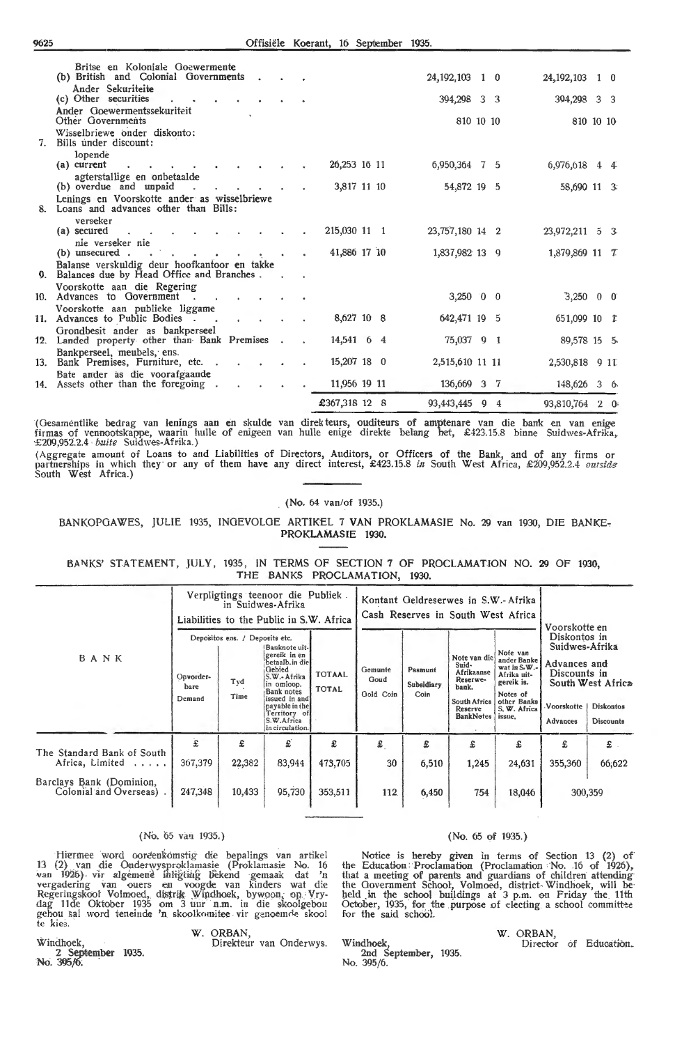|    | Britse en Koloniale Goewermente<br>(b) British and Colonial Governments.<br>Ander Sekuriteite      |  |               |  | 24, 192, 103 1 0        |  | 24, 192, 103            | $1\quad 0$ |
|----|----------------------------------------------------------------------------------------------------|--|---------------|--|-------------------------|--|-------------------------|------------|
|    | (c) Other securities<br>$\mathbf{r}$                                                               |  |               |  | 394,298 3 3             |  | 394,298 3 3             |            |
|    | Ander Goewermentssekuriteit<br>Other Governments                                                   |  |               |  | 810 10 10               |  | 810 10 10               |            |
| 7. | Wisselbriewe onder diskonto:<br>Bills under discount:                                              |  |               |  |                         |  |                         |            |
|    | lopende<br>(a) current                                                                             |  | 26,253 16 11  |  | 6,950,364 7 5           |  | 6,976,618 4 4           |            |
|    | agterstallige en onbetaalde                                                                        |  |               |  |                         |  |                         |            |
|    | (b) overdue and unpaid                                                                             |  | 3,817 11 10   |  | 54,872 19 5             |  | 58,690 11 3             |            |
|    | Lenings en Voorskotte ander as wisselbriewe                                                        |  |               |  |                         |  |                         |            |
| 8. | Loans and advances other than Bills:                                                               |  |               |  |                         |  |                         |            |
|    | verseker                                                                                           |  |               |  |                         |  |                         |            |
|    | (a) secured                                                                                        |  | 215,030 11 1  |  | 23,757,180 14 2         |  | 23,972,211 5 3          |            |
|    | nie verseker nie<br>(b) unsecured.<br><b>Contract Contract Contract</b>                            |  | 41,886 17 10  |  | 1,837,982 13 9          |  | 1,879,869 11 7          |            |
|    | $\mathbf{r}$ . The $\mathbf{r}$                                                                    |  |               |  |                         |  |                         |            |
|    | Balanse verskuldig deur hoofkantoor en takke<br>9. Balances due by Head Office and Branches.       |  |               |  |                         |  |                         |            |
|    | Voorskotte aan die Regering                                                                        |  |               |  |                         |  |                         |            |
|    | 10. Advances to Government.                                                                        |  |               |  | $3,250 \quad 0 \quad 0$ |  | $3,250 \quad 0 \quad 0$ |            |
|    | Voorskotte aan publieke liggame                                                                    |  | 8,627 10 8    |  | 642,471 19 5            |  |                         |            |
|    | 11. Advances to Public Bodies.<br>$\sim$<br>$\mathbf{e}^{(1)}$ and $\mathbf{e}^{(2)}$<br>$\bullet$ |  |               |  |                         |  | 651,099 10 L            |            |
|    | Grondbesit ander as bankperseel<br>12. Landed property other than Bank Premises                    |  | 14,541 6 4    |  | 75,037 9 1              |  | 89,578 15 5             |            |
|    | Bankperseel, meubels, ens.<br>13. Bank Premises, Furniture, etc                                    |  | 15,207 18 0   |  | 2,515,610 11 11         |  | 2,530,818 9 11          |            |
|    | Bate ander as die voorafgaande<br>14. Assets other than the foregoing                              |  | 11,956 19 11  |  | 136,669 3 7             |  | 148,626 3 6             |            |
|    |                                                                                                    |  |               |  |                         |  |                         |            |
|    |                                                                                                    |  | £367,318 12 8 |  | 93,443,445 9 4          |  | 93,810,764 2 0          |            |

(Gesamentlike bedrag van lenings aan en skulde van direkteurs, ouditeurs of amptenare van die bank en van enige<br>firmas of vennootskappe, waarin hulle of enigeen van hulle enige direkte belang het, £423.15.8 binne Suidwes-A

(Aggregate amount of Loans to and Liabilities of Directors, Auditors, or Officers of the Bank, and of any firms or<br>partnerships in which they or any of them have any direct interest, £423.15.8 in South West Africa, £209,95 South West Africa.)

#### (No. 64 van/of 1935.)

BANKOPOAWES, JULIE 1935, INGEVOLOE ARTIKEL 7 VAN PROKLAMASIE No. 29 van 1930, DIE BANKE, PROKLAMASIE 1930.

BANKS' STATEMENT, JULY, 1935, IN TERMS OF SECTION 7 OF PROCLAMATION NO. **29** OF 1930, THE BANKS PROCLAMATION, 1930.

|                                                     |                             |                                               | Verpligtings teenoor die Publiek<br>in Suidwes-Afrika<br>Liabilities to the Public in S.W. Africa                                                                                        |                        |                              | Kontant Geldreserwes in S.W.- Afrika<br>Cash Reserves in South West Africa | Voorskotte en                                                                                                  |                                                                                                                              |                                                                                                 |                                                           |
|-----------------------------------------------------|-----------------------------|-----------------------------------------------|------------------------------------------------------------------------------------------------------------------------------------------------------------------------------------------|------------------------|------------------------------|----------------------------------------------------------------------------|----------------------------------------------------------------------------------------------------------------|------------------------------------------------------------------------------------------------------------------------------|-------------------------------------------------------------------------------------------------|-----------------------------------------------------------|
| BANK                                                | Opvorder-<br>bare<br>Demand | Depositos ens. / Deposits etc.<br>Tyd<br>Time | Banknote uit-<br>gereik in en<br>betaalb.in die<br>Gebied<br>S.W.-Afrika<br>in omloop.<br>Bank notes<br>issued in and<br>payable in the<br>Territory of<br>S.W.Africa<br>in circulation. | <b>TOTAAL</b><br>TOTAL | Gemunte<br>Goud<br>Gold Coin | Pasmunt<br>Subsidiary<br>Coin                                              | Note van die<br>Suid-<br>Afrikaanse<br>Reserwe-<br>bank.<br><b>South Africa</b><br>Reserve<br><b>BankNotes</b> | Note van<br>ander Banke<br>wat in $S.W.$ -<br>Afrika uit-<br>gereik is.<br>Notes of<br>other Banks<br>S. W. Africa<br>issue, | Diskontos in<br>Suidwes-Afrika<br>Advances and<br>Discounts in<br>Voorskotte<br><b>Advances</b> | South West Africa<br><b>Diskontos</b><br><b>Discounts</b> |
| The Standard Bank of South                          | £                           | £                                             | £.                                                                                                                                                                                       | £                      | £                            | £                                                                          | £                                                                                                              | £                                                                                                                            | £                                                                                               | $\varepsilon$ .                                           |
| Africa, Limited                                     | 367,379                     | 22,382                                        | 83,944                                                                                                                                                                                   | 473,705                | 30                           | 6,510                                                                      | 1,245                                                                                                          | 24.631                                                                                                                       | 355,360                                                                                         | 66,622                                                    |
| Barclays Bank (Dominion,<br>Colonial and Overseas). | 247,348                     | 10,433                                        | 95,730                                                                                                                                                                                   | 353,511                | 112                          | 6,450                                                                      | 754                                                                                                            | 18,046                                                                                                                       |                                                                                                 | 300,359                                                   |

#### (No. 65 van 1935.)

Hiermee word ooreenkomstig die bepalings van artikel 13 (2) van die Onderwysproklamasie (Proklamasie No. 16<br>van 1926) vir algemene ihligting bekend gemaak dat 'n vergadering van ouers en voogde van kinders wat die<br>Regeringskool Volmoed, distrik Windhoek, bywoon, op. Vrydag 11de Oktober 1935 om 3 uur n.m. in die skoolgebou gehou sal word teneinde 'n skoolkomitee vir genoemde skool te kies.

#### W. ORBAN,

Direkteur van Onderwys.

#### (No. 65 of 1935.)

Notice is her-eby given in terms of Section 13 (2) of the Education : Proclamation (Proclamation No. .16 of 1926), that a meeting of parents and guardians of children attending- the Government School, Volmoed, district-Windhoek, will be held in the school buildings at 3 p.m. on Friday the 11th October, 1935, for the purpose of electing a school committee for the said school.

Windhoek, **2nd September, 1935.** Director of Education. No. 395/6.

W. ORBAN,<br>Director of Education.

Windhoek, 2 September 1935. No. 395/6: .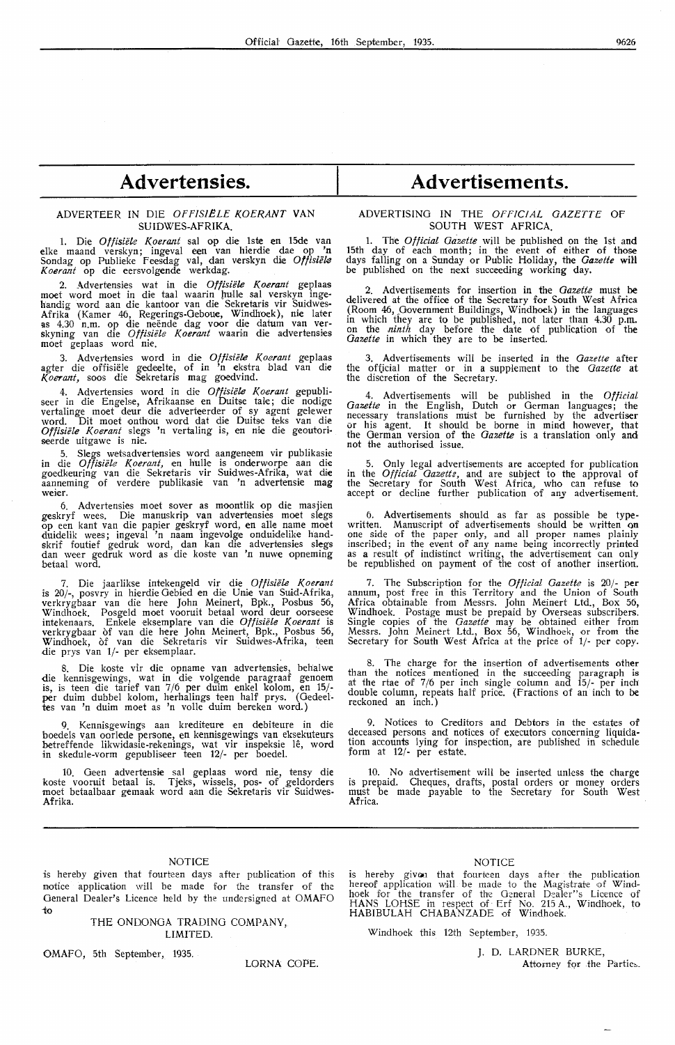## **Advertensies.**

#### ADVERTEER IN DIE OFFISIËLE KOERANT VAN SUIDWES-AFRIKA.

1. Die *Offisii!le Koerant* sal op die 1ste en 15de van elke maand verskyn; ingeval een van hierdie dae op 'n Sondag op Publieke Feesdag val, dan verskyn die Offisiële *Koerant* op die eersvolgende werkdag.

2. Advertensies wat in die *Offisiële Koerant* geplaas moet word moet in die taal waarin hulle sal verskyn ingehandig word aan die kantoor van die Sekretaris vir Suidwes-Afrika (Kamer 46, Regerings-Geboue, Windhoek), nie later<br>as 4.30 n.m. op die neënde dag voor die datum van ver-<br>skyning van die *Offisiële Koerant* waarin die advertensies moet geplaas word nie.

3. Advertensies word in die Offisiële Koerant geplaas agter die offisiele gededte, of in 'n ekstra blad van die *Koerant*, soos die Sekretaris mag goedvind.

4. Advertensies word in die *Offisiële Koerant* gepubli-<br>seer in die Engelse, Afrikaanse en Duitse tale; die nodige vertalinge moet deur die adverteerder of sy agent gelewer word. Dit moet onthou word dat die Duitse teks van die Offisiële Koerant slegs 'n vertaling is, en nie die geoutoriseerde uitgawe is nie.

5. Slegs wetsadvertensies word aangeneem vir publikasie in die *Offisiële Koerant*, en hulle is onderworpe aan die goedkeuring van die Sekretaris vir Suidwes-Afrika, wat die aanneming of verdere publikasie van 'n advertensie mag weier.

6. Advertensies moet sover as moontlik op die masjien geskryf wees. Die manuskrip van advertensies moet slegs op een kant van die papier geskryf word, en alle name moet duidelik wees; ingeval 'n naam ingevolge onduidelike handskrif foutief gedruk word, dan kan die advertensies slegs dan weer gedruk word as die koste van 'n nuwe opneming betaal word.

7. Die jaarlikse intekengeld vir die Offisiële Koerant is 20/-, posvry in hierdie Gebied en die Unie van Suid-Afrika, verkrygbaar van die here John Meinert, Bpk., Posbus 56, Windhoek. Posgeld moet vooruit betaal word deur oorseese<br>intekenaars. Enkele eksemplare van die *Offisiële Koerant* is verkrygbaar of van die here John Meinert, Bpk., Posbus 56, Windhoek, of van die Sekretaris vir Suidwes-Afrika, teen die prys van 1/- per eksemplaar.

8. Die koste vir die opname van advertensies, behalwe die kennisgewings, wat in die volgende paragraaf genoem is, is teen die tarief van 7/6 per duim enkeI kolom, en 15/ per duim dubbel kolom, herhalings teen half prys. (Oedeeltes van 'n duim moet as 'n volle duim bereken word.)

9. Kennisgewings aan krediteure en debiteure in die boedels van oorlede persone, en kennisgewings van eksekuteurs betreffende likwidasie-rekenings, wat vir inspeksie lê, word in skedule-vorm gepubliseer teen 12/- per boedel.

10. Geen advertensie sal geplaas word nie, tensy die koste vooruit betaal is. Tjeks, wissels, pos- of geldorders moet betaalbaar gemaak word aan die Sekretaris vir Suidwes-Afrika.

### **Advertisements.**

#### **ADVERTISING IN THE OFFICIAL GAZETTE OF SOUTH WEST AFRICA.**

1. The *Official Gazette* will be published on the 1st and 15th day of each month; in the event of either of those days falling on a Sunday or Public Holiday, the *Gazette* wiH be published on the next sucoeeding working day.

2. Advertisements for insertion in the *Gazette* must be delivered at the office of the Secretary for South West Africa (Room 46, Government Buildings, Windhoek) in the languages in which they are to be published, not later than 4.30 p.m. on the *ninth* day before the date of publication of the Gazette in which they are to be inserted.

3. Advertisements will be inserted in the *Gazette* after the of{icial matter or in a supplement to the *Gazette* at the discretion of the Secretary.

4. Advertisements will be published in the *Official Gazette* in the English, Dutch or German languages; the necessary translations must be furnished by the advertiser or his agent. It should be borne in mind however, that the German version of the *Gazette* is a translation only and not the authorised issue.

5. Only legal advertisements are acoepkd for publication in the *Official Gazette,* and are subject to the approval of the Secretary for South West Africa, who can refuse to accept or decline further publication of any advertisement.

6. Advertisements should as far as possible be typewritten. Manuscript of advertisements should be written on<br>one side of the paper only, and all proper names plainly inscribed; in the event of any name being incorrectly printed as a result of indistinct writing, the advertisement can only be republished on payment of the cost of another insertion.

7. The Subscription for the *Otficial Gazette* is 20/- per annum, post free in this Territory and the Union of South Africa obtainable from Messrs. John Meinert Ltd., Box 56, Windhoek. Postage must be prepaid by Overseas subscribers. Single copies of the *Gazette* may be obtained either from Messrs. John Meinert Ltd., Box 56, Windhoek, or from the Secretary for South West Africa at the price of 1/- per copy.

8. The charge for the insertion of advertisements other than the notices mentioned in the succeeding paragraph is at the rtae of 7/6 per inch single column and 15/- per inch double column, repeats half price. (Fractions of an· inch to be reckoned an inch.)

9. Notices to Creditors and Debtors in the estates of deceased persons and notices of executors concerning liquidation accounts lying for inspection, are published in schedule form at 12/- per estate.

10. No advertisement will be inserted unless the charge is prepaid. Cheques, drafts, postal orders or money orders must be made payable to the Secretary for South West **Africa.** 

#### **NOTICE**

is hereby given that fourteen days after publication of this notice application will be made for the transfer of the General Dealer's Licence held by the undersigned at OMAFO io

> THE ONDONGA TRADING COMPANY, LIMITED.

OMAFO, 5th September, 1935.

LORNA COPE.

#### NOTICE

is hereby given that fourteen days after the publication hereof application will be made to the Magistrate of Windhoek for the transfer of the General Dealer"s Licence of HANS LOHSE in respect of Erf No. 215 A., Windhoek, to HABIBULAH CHABANZADE of Windhoek.

Windhoek this 12th September, 1935.

J. D. LARDNER BURKE,

Attorney for the Parties.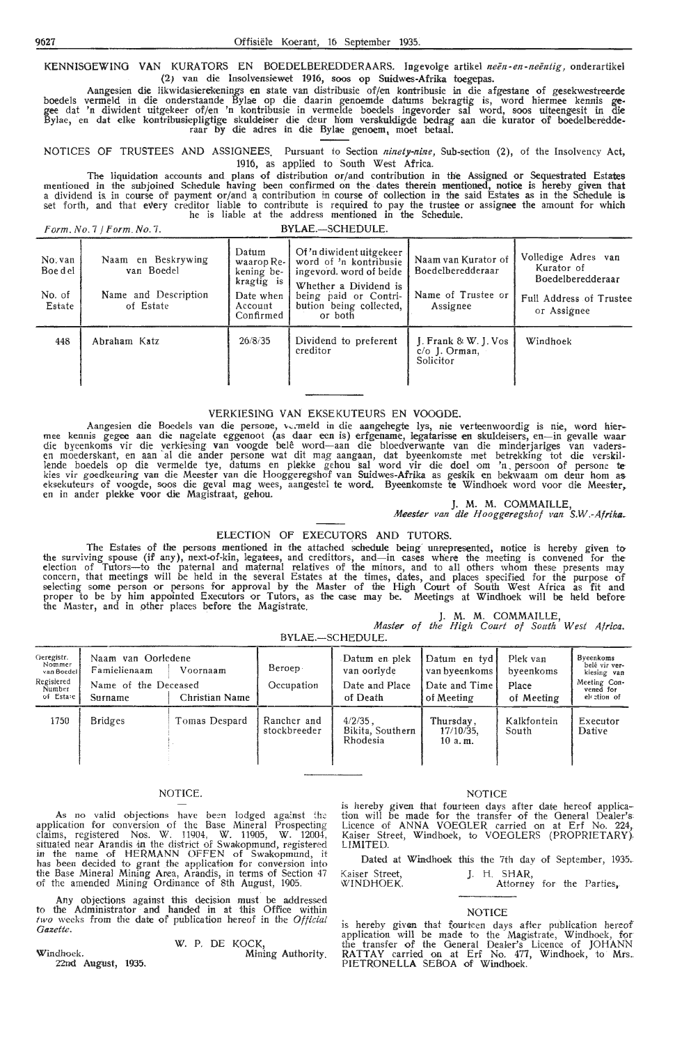KENNISGEWING VAN KURATORS EN BOEDELBEREDDERAARS. Ingevolge artikel *neën-en-neëntig*, onderartikel (2) van die lnsolvensiewet 1916, soos op Suidwes-Afrika toegepas.

Aangesien die likwidasierekenings en state van distribusie of/en kontribusie in die afgestane of gesekwestreerde boedels vermeld in die onderstaande Byiae op die daarin genoemde datums bekragtig is, word hiermee kennis gegee dat 'n diwident uitgekeer of/en 'n kontribusie in vermelde boedels ingevorder sal word, soos uiteengesit in die Bylae, en dat elke kontribusiepligtige skuldeiser die deur hom verskuldigde bedrag aan die kurator of boedelberedde-<br>raar by die adres in die Bylae genoem, moet betaal.

NOTICES OF TRUSTEES AND ASSIGNEES. Pursuant *to* Section *ninety-nbze,* Sub-section (2), of the Insolvency Act, 1916, as applied to South West Africa.

The liquidation accounts and plans of distribution or/and contribution in the Assigned or Sequestrated Estates mentioned in the subjoined Schedule having been confirmed on the dates therein mentioned, notice is hereby given that<br>a dividend is in course of payment or/and a contribution in course of collection in the said Estates as he is liable at the address mentioned in the Schedule.

*Form. No.* 7 */Form. No.* 7. BYLAE.-SCHEDULE.

| No. van<br>Boe d el<br>No. of<br>Estate | Naam en Beskrywing<br>van Boedel<br>Name and Description<br>of Estate | Datum<br>waarop Re-<br>kening be-<br>kragtig is<br>Date when<br>Account<br>Confirmed | Of 'n diwident uitgekeer<br>word of 'n kontribusie<br>ingevord, word of beide<br>Whether a Dividend is<br>being paid or Contri-<br>bution being collected,<br>or both | Naam van Kurator of<br>Boedelberedderaar<br>Name of Trustee or<br>Assignee | Volledige Adres van<br>Kurator of<br><b>Boedelberedderaar</b><br>Full Address of Trustee<br>or Assignee |
|-----------------------------------------|-----------------------------------------------------------------------|--------------------------------------------------------------------------------------|-----------------------------------------------------------------------------------------------------------------------------------------------------------------------|----------------------------------------------------------------------------|---------------------------------------------------------------------------------------------------------|
| 448                                     | Abraham Katz                                                          | 26/8/35                                                                              | Dividend to preferent<br>creditor                                                                                                                                     | $\vert$ . Frank & W. J. Vos<br>$c/o$ J. Orman,<br>Solicitor                | Windhoek                                                                                                |

#### VERKIESING **VAN** EKSEKUTEURS EN VOOGDE.

Aangesien die Boedels van die persone, vermeld in die aangehegte lys, nie verteenwoordig is nie, word hier-<br>mee kennis gegee aan die nagelate eggenoot (as daar een is) erfgename, legatarisse en skuldeisers, en—in gevalle w lende boedels op die vermelde tye, datums en plekke gehou sal word vir die doel om 'n persoon of persone tekies vir goedkeuring van die Meester van die Hooggeregshof van Suidwes-Afrika as geskik en bekwaam om deur hom as<br>eksekuteurs of voogde, soos die geval mag wees, aangestel te word. Byeenkomste te Windhoek word voor die Mee

J. **M. M.** COMMAILLE,

*Meester van* die *Hooggeregshof van S.W.-Afrika-*

#### ELECTION OF EXECUTORS AND TUTORS.

The Estates of the persons mentioned in the attached schedule being unrepresented, notice is hereby given to the surviving spouse (if any), next-of-kin, legatees, and credittors, and-in cases where the meeting is convened for the election of Tutors—to the paternal and maternal relatives of the minors, and to all others whom these presents may<br>concern, that meetings will be held in the several Estates at the times, dates, and places specified for th selecting some person or persons for approval by the Master of the High Court of South West Africa as fit and proper to be by him appointed Executors or Tutors, as the case may be. Meetings at Windhoek will be held before the Master, and in other places before the Magistrate.

|                                                |  | J. M. M. COMMAILLE, |  |  |
|------------------------------------------------|--|---------------------|--|--|
| Master of the High Court of South West Africa. |  |                     |  |  |

BYLAE.-SCHEDULE.

| Geregistr.<br>Nommer<br>van Boedel<br>Regisiered<br>Number<br>of Estare | Naam van Oorledene<br>Famielienaam<br>Name of the Deceased<br>Surname | Voornaam<br>Christian Name | Beroep<br>Occupation        | Datum en plek<br>van oorlyde<br>Date and Place<br>of Death | Datum en tyd<br>van byeenkoms<br>Date and Time<br>of Meeting | Plek van<br>byeenkoms<br>Place<br>of Meeting | Byeenkoms<br>belê vir ver-<br>kiesing van<br>Meeting Con-<br>vened for<br>el ction of |
|-------------------------------------------------------------------------|-----------------------------------------------------------------------|----------------------------|-----------------------------|------------------------------------------------------------|--------------------------------------------------------------|----------------------------------------------|---------------------------------------------------------------------------------------|
| 1750                                                                    | <b>Bridges</b>                                                        | Tomas Despard              | Rancher and<br>stockbreeder | $4/2/35$ .<br>Bikita, Southern<br>Rhodesia                 | Thursday,<br>17/10/35,<br>10a.m.                             | Kalkfontein<br>South                         | Executor<br>Dative                                                                    |

#### NOTICE.

As no valid objections have been lodged against the application for conversion of the Base Mineral Prospecting claims, registered Nos. W. 11904, W. 11905, W. 12004,<br>situated near Arandis in the district of Swakopmund, registered in the name of HERMANN OFFEN of Swakoprnund, it has been decided to grant the application for conversion into the Base Mineral Mining Area, Arandis, in terms of Section 47 of the amended Mining Ordinance of 8th August, 1905.

Any objections against this decision must be addressed to the Administrator and handed in at this Office within *two* weeks from the date of publication hereof in the Official *Gazette.* 

#### W. P. DE KOCK,

Windhoek. Mining Authority. 22nd August, 1935.

#### NOTICE

is hereby given that fourteen days after date hereof applica-<br>tion will be made for the transfer of the General Dealer's Licence of **ANNA** VOEOLER carried on at Erf No. 224, Kaiser Street, Windhoek, to VOEGLERS (PROPRIETARY),<br>LIMITED.

Dated at Windhoek this the 7th day of September, 1935. Kaiser Street, J. H. SHAR,

| WINDHOEK. | Attorney for the Parties, |  |  |
|-----------|---------------------------|--|--|
|           |                           |  |  |

#### NOTICE

is hereby given that fourteen days after publication hereof application will be made to the Magistrate, Windhoek, for the transfer of the General Dea1er's Licence of JOHANN RATTAY carried on at Erf No. 477, Windhoek, to Mrs\_ PIETRONELLA SEBOA of Windhoek.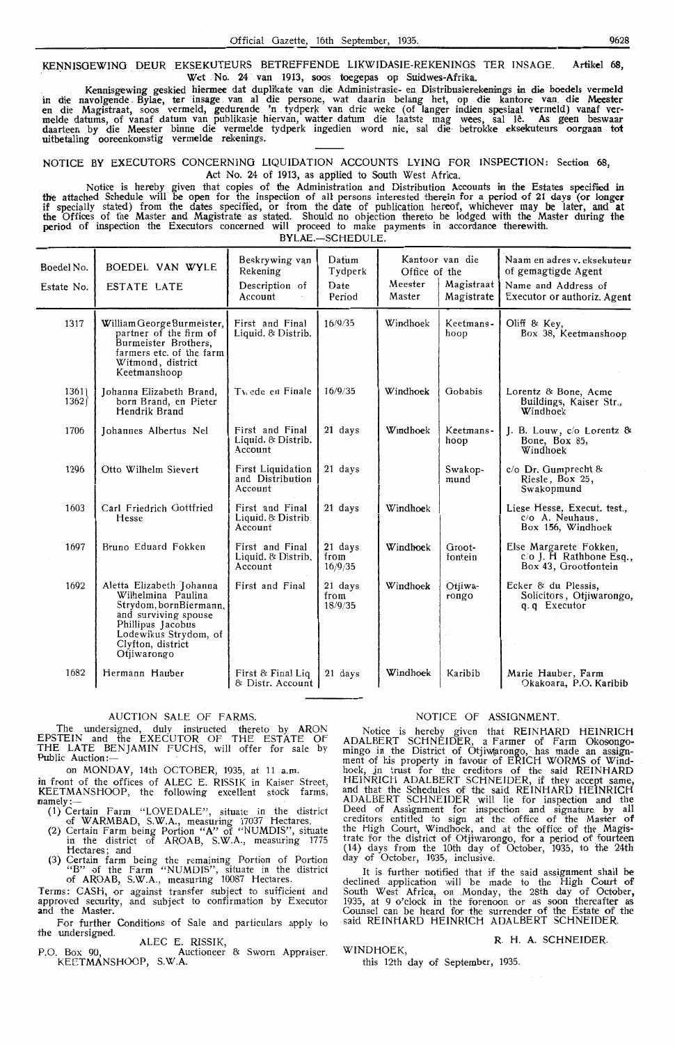Official Gaze KENNISGEWING DEUR EKSEKUTEURS BETREFFENDE LIKWIDASIE-REKENINGS TER INSAGE. Artikel 6**8,** Wet No. 24 van 1913, soos toegepas op Suidwes-Afrika.

Kennisgewing geskied hiermee dat duplikate van die Administrasie- en Distribusierekenings in die boedels vermeld in die navolgende Bylae, ter insage van al die persone, wat daarin belang het, op die kantore van die Meester en die Magistraat, soos vermeld, gedurende 'n tydperk van drie weke (of langer indien spesiaal vermeld) vanaf ver-<br>melde datums, of vanaf datum van publikasie hiervan, watter datum die laatste mag wees, sal lê. As geen bes daarteen by die Meester binne die vermelde tydperk ingedien word nie, sal die betrokke eksekuteurs oorgaan tot uitbetaling ooreenkomstig vermelde rekenings.

NOTICE BY EXECUTORS CONCERNING LIQUIDATION ACCOUNTS LYING FOR INSPECTION: Section 68, Act No. 24 of 1913, as applied to South West Africa.

Notice is hereby given that copies of the Administration and Distribution Accounts in the Estates specified in the attached Schedule will be open for the inspection of all persons interested therein for a period of 21 days (or longer<br>if specially stated) from the dates specified, or from the date of publication hereof, whichever ma the Offices of the Master and Magistrate as stated. Should no objection thereto be lodged with the Master during the period of inspection the Executors conoerned will proceed to make payments in accordance therewith. BYLAE.-SCHEDULE.

Beskrywing van Datum Kantoor van die Naam en adres v. eksekuteur<br>Rekening Tydnerk Office of the of gemagtigde Agent Boedel No. BOEDEL VAN WYLE Rekening Tydperk Agent Contract of the of gemagtigde Agent Estate No. ESTATE LATE Description of Date Meester Agent Magistraat Name and Address of Estate No. | ESTATE LATE | Description of | Date | Meester Magistrate Magistraat Name and Address of Executor or authoriz. Agent 1317 | William George Burmeister, | First and Final | 16/9/35 | Windhoek | Keetmans- | Oliff & Key, First and Final  $\begin{bmatrix} 16/9/35 \\$  Windhoek Keetmans- Oliff & Key,<br>Liquid. & Distrib.  $\begin{bmatrix} 16/9/35 \\$  Box 38, Keetmanshoop Burmeister Brothers, farmers etc. of the farm Witmond, district Keetmanshoop 1361} Johanna Elizabeth Brand, Twede en Finale 16/9/35 Windhoek Gobabis Lorentz & Bone, Acme 1362} born Brand, en Pieter 1362 born Brand, en Pieter Buildings, Antarctic Buildings, Buildings, Buildings, Buildings, Buildings, Buildings, Buildings, Buildings, Buildings, Buildings, Buildings, Buildings, Buildings, Buildings, Buildings, Buildings Hendrik Brand 1706 Johannes Albertus Nel First and Final 21 days Windhoek Keetmans- J. B. Louw, c/o Lorentz & Liquid. & Distrib. Liquid. & Distrib. hoop Bone, Box 85, Account Windhoek 1296 Otto Wilhelm Sievert First Liquidation 21 days Swakop- *c/o Dr. Gumprecht 8*<br>and Distribution 21 days mund Riesle, Box 25. and Distribution mund Riesle, Box 25, Swakopmund 1603 Carl Friedrich Gottfried | First and Final | 21 days | Windhoek | Liese Hesse, Execut. test., Hesse  $\blacksquare$  Liquid. & Distrib.  $\blacksquare$   $\blacksquare$   $\blacksquare$   $\blacksquare$   $\blacksquare$   $\blacksquare$   $\blacksquare$   $\blacksquare$   $\blacksquare$   $\blacksquare$   $\blacksquare$   $\blacksquare$   $\blacksquare$   $\blacksquare$   $\blacksquare$   $\blacksquare$   $\blacksquare$   $\blacksquare$   $\blacksquare$   $\blacksquare$   $\blacksquare$   $\blacksquare$   $\blacksquare$   $\blacksquare$   $\blacksquare$   $\blacksquare$   $\blacksquare$  Account 1 and 156, Windhoek 1697 Bruno Eduard Fokken First and Final 21 days Windhoek Groot- Else Margarete Fokken,<br>
Liquid. & Distrib. from fontein c/o J. H Rathbone Esq., Account 16/9/35 Box 43, Grootfontein 1692 Aletta Elizabeth Johanna First and Final 21 days Windhoek Otjiwa-<br>
Strydom bornBiermann (18/0/35) The Champs of Precutor of Precutor Solicitors, Otjiwarongo,  $\alpha$ ,  $\alpha$  Executor Strydom, bornBiermann *and surviving spouse*<br>and surviving spouse<br>Phillipus Jacobus Lodewikus Strydom, of Clyfton, district Otjiwarongo 1682 Hermann Hauber | First & Final Liq | 21 days | Windhoek | Karibib | Marie Hauber, Farm & Distr. Account Okakoara, P.O. Karibib

#### AUCTION SALE OF FARMS.

The undersigned, duly instructed thereto by ARON EPSTEIN and the EXECUTOR OF THE ESTATE OF THE LATE BENJAMIN FUCHS, will offer for sale by Public Auction

on MONDAY, 14th OCTOBER, 1935, at 11 a.m.

in front of the offices of ALEC E. RISSIK in Kaiser Street, KEETMANSHOOP, the following excellent stock farms, namely:  $-$ 

- (1) Certain Farm. "LOVEDALE", situate in the district \_ of WARMBAD, S.W.A., .measuring 17037 Hectares.
- (2) Certain Farm being Portion "A" of "NUMDIS", situate in the district of AROAB, S.W.A., measuring 1775 Hectares; and
- (3) Certain farm being the remaining Portion of Portion "B" of the Farm "NUMDIS", situate in the district of AROAB, S.W.A., measuring 10087 Hectares.

Terms: CASH, or against transfer subject to sufficient and approved security, and subject to confirmation by Executor **and** the Master.

For further Conditions of Sale and particulars apply to the undersigned.

ALEC E. RISSIK,

P.O. Box 90, Auctioneer & Sworn Appraiser. KECTMANSHOOP, S.W.A.

#### NOTICE OF ASSIGNMENT.

Notice is hereby given that REINHARD HEINRICH ADALBERT SCHNEIDER, a farmer of Farm Okosongomingo in the District of Otjiw(arongo, has made an assign-<br>ment of his property in favour of ERICH WORMS of Wind-<br>hoek, in trust for the creditors of the said REINHARD HEINRICH ADALBERT SCHNEIDER, if they accept same, and that the Schedules of the said REINHARD HEINRICH ADALBERT SCHNEIDER will lie for inspection and the Deed of Assignment for inspection and signature by all creditors entitled to sign at the office of the Master of the High Court, Windhoek, and at the office of the Magistrate for the district of Otjiwarongo, for a period of fourteen (14) days from the 10th day of October, 1935, to the 24th day of October, 1935, inclusive.

It is further notified that if the said assignment shall be declined application will be made to the High Court of South West Africa, on Monday, the 28th day of October, 1935, at 9 o'clock in the forenoon or as soon thereafter as Counsel can be heard for the surrender of the Estate of the said REINHARD HEINRICH ADALBERT SCHNEIDER.

WINDHOEK,

### R H. A. SCHNEIDER.

this 12th day of September, 1935.